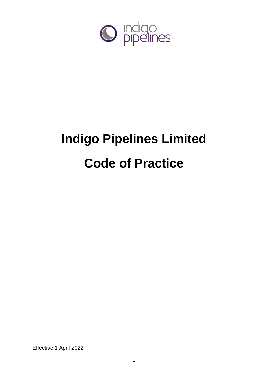

# **Indigo Pipelines Limited Code of Practice**

Effective 1 April 2022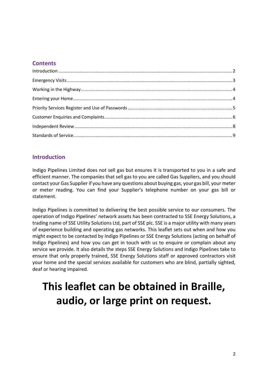# **Contents**

# <span id="page-1-0"></span>**Introduction**

Indigo Pipelines Limited does not sell gas but ensures it is transported to you in a safe and efficient manner. The companies that sell gas to you are called Gas Suppliers, and you should contact your Gas Supplier if you have any questions about buying gas, your gas bill, your meter or meter reading. You can find your Supplier's telephone number on your gas bill or statement.

Indigo Pipelines is committed to delivering the best possible service to our consumers. The operation of Indigo Pipelines' network assets has been contracted to SSE Energy Solutions, a trading name of SSE Utility Solutions Ltd, part of SSE plc. SSE is a major utility with many years of experience building and operating gas networks. This leaflet sets out when and how you might expect to be contacted by Indigo Pipelines or SSE Energy Solutions (acting on behalf of Indigo Pipelines) and how you can get in touch with us to enquire or complain about any service we provide. It also details the steps SSE Energy Solutions and Indigo Pipelines take to ensure that only properly trained, SSE Energy Solutions staff or approved contractors visit your home and the special services available for customers who are blind, partially sighted, deaf or hearing impaired.

# **This leaflet can be obtained in Braille, audio, or large print on request.**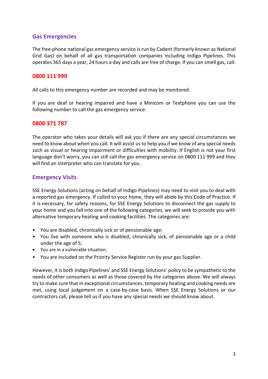# **Gas Emergencies**

The free-phone national gas emergency service is run by Cadent (formerly known as National Grid Gas) on behalf of all gas transportation companies including Indigo Pipelines. This operates 365 days a year, 24 hours a day and calls are free of charge. If you can smell gas, call:

#### **0800 111 999**

All calls to this emergency number are recorded and may be monitored.

If you are deaf or hearing impaired and have a Minicom or Textphone you can use the following number to call the gas emergency service:

#### **0800 371 787**

The operator who takes your details will ask you if there are any special circumstances we need to know about when you call. It will assist us to help you if we know of any special needs such as visual or hearing impairment or difficulties with mobility. If English is not your first language don't worry, you can still call the gas emergency service on 0800 111 999 and they will find an interpreter who can translate for you.

# <span id="page-2-0"></span>**Emergency Visits**

SSE Energy Solutions (acting on behalf of Indigo Pipelines) may need to visit you to deal with a reported gas emergency. If called to your home, they will abide by this Code of Practice. If it is necessary, for safety reasons, for SSE Energy Solutions to disconnect the gas supply to your home and you fall into one of the following categories, we will seek to provide you with alternative temporary heating and cooking facilities. The categories are:

- You are disabled, chronically sick or of pensionable age;
- You live with someone who is disabled, chronically sick, of pensionable age or a child under the age of 5;
- You are in a vulnerable situation;
- You are included on the Priority Service Register run by your gas Supplier.

However, it is both Indigo Pipelines' and SSE Energy Solutions' policy to be sympathetic to the needs of other consumers as well as those covered by the categories above. We will always try to make sure that in exceptional circumstances, temporary heating and cooking needs are met, using local judgement on a case-by-case basis. When SSE Energy Solutions or our contractors call, please tell us if you have any special needs we should know about.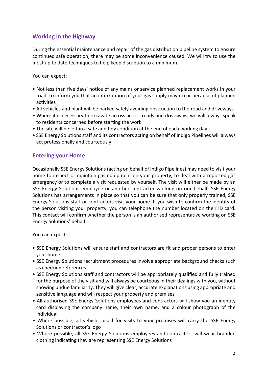# <span id="page-3-0"></span>**Working in the Highway**

During the essential maintenance and repair of the gas distribution pipeline system to ensure continued safe operation, there may be some inconvenience caused. We will try to use the most up to date techniques to help keep disruption to a minimum.

You can expect:

- Not less than five days' notice of any mains or service planned replacement works in your road, to inform you that an interruption of your gas supply may occur because of planned activities
- All vehicles and plant will be parked safely avoiding obstruction to the road and driveways
- Where it is necessary to excavate across access roads and driveways, we will always speak to residents concerned before starting the work
- The site will be left in a safe and tidy condition at the end of each working day
- SSE Energy Solutions staff and its contractors acting on behalf of Indigo Pipelines will always act professionally and courteously

# <span id="page-3-1"></span>**Entering your Home**

Occasionally SSE Energy Solutions (acting on behalf of Indigo Pipelines) may need to visit your home to inspect or maintain gas equipment on your property, to deal with a reported gas emergency or to complete a visit requested by yourself. The visit will either be made by an SSE Energy Solutions employee or another contractor working on our behalf. SSE Energy Solutions has arrangements in place so that you can be sure that only properly trained, SSE Energy Solutions staff or contractors visit your home. If you wish to confirm the identity of the person visiting your property, you can telephone the number located on their ID card. This contact will confirm whether the person is an authorised representative working on SSE Energy Solutions' behalf.

You can expect:

- SSE Energy Solutions will ensure staff and contractors are fit and proper persons to enter your home
- SSE Energy Solutions recruitment procedures involve appropriate background checks such as checking references
- SSE Energy Solutions staff and contractors will be appropriately qualified and fully trained for the purpose of the visit and will always be courteous in their dealings with you, without showing undue familiarity. They will give clear, accurate explanations using appropriate and sensitive language and will respect your property and premises
- All authorised SSE Energy Solutions employees and contractors will show you an identity card displaying the company name, their own name, and a colour photograph of the individual
- Where possible, all vehicles used for visits to your premises will carry the SSE Energy Solutions or contractor's logo
- Where possible, all SSE Energy Solutions employees and contractors will wear branded clothing indicating they are representing SSE Energy Solutions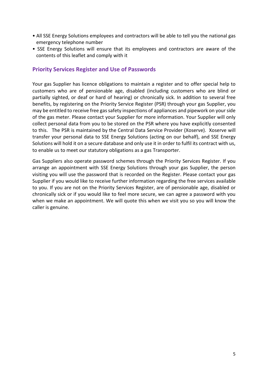- All SSE Energy Solutions employees and contractors will be able to tell you the national gas emergency telephone number
- SSE Energy Solutions will ensure that its employees and contractors are aware of the contents of this leaflet and comply with it

# <span id="page-4-0"></span>**Priority Services Register and Use of Passwords**

Your gas Supplier has licence obligations to maintain a register and to offer special help to customers who are of pensionable age, disabled (including customers who are blind or partially sighted, or deaf or hard of hearing) or chronically sick. In addition to several free benefits, by registering on the Priority Service Register (PSR) through your gas Supplier, you may be entitled to receive free gas safety inspections of appliances and pipework on your side of the gas meter. Please contact your Supplier for more information. Your Supplier will only collect personal data from you to be stored on the PSR where you have explicitly consented to this. The PSR is maintained by the Central Data Service Provider (Xoserve). Xoserve will transfer your personal data to SSE Energy Solutions (acting on our behalf), and SSE Energy Solutions will hold it on a secure database and only use it in order to fulfil its contract with us, to enable us to meet our statutory obligations as a gas Transporter.

<span id="page-4-1"></span>Gas Suppliers also operate password schemes through the Priority Services Register. If you arrange an appointment with SSE Energy Solutions through your gas Supplier, the person visiting you will use the password that is recorded on the Register. Please contact your gas Supplier if you would like to receive further information regarding the free services available to you. If you are not on the Priority Services Register, are of pensionable age, disabled or chronically sick or if you would like to feel more secure, we can agree a password with you when we make an appointment. We will quote this when we visit you so you will know the caller is genuine.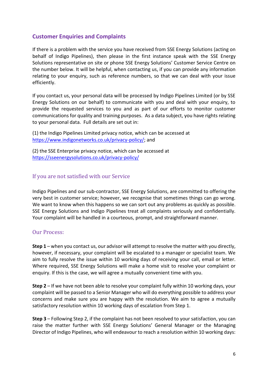# **Customer Enquiries and Complaints**

If there is a problem with the service you have received from SSE Energy Solutions (acting on behalf of Indigo Pipelines), then please in the first instance speak with the SSE Energy Solutions representative on site or phone SSE Energy Solutions' Customer Service Centre on the number below. It will be helpful, when contacting us, if you can provide any information relating to your enquiry, such as reference numbers, so that we can deal with your issue efficiently.

If you contact us, your personal data will be processed by Indigo Pipelines Limited (or by SSE Energy Solutions on our behalf) to communicate with you and deal with your enquiry, to provide the requested services to you and as part of our efforts to monitor customer communications for quality and training purposes. As a data subject, you have rights relating to your personal data. Full details are set out in:

(1) the Indigo Pipelines Limited privacy notice, which can be accessed at [https://www.indigonetworks.co.uk/privacy-policy/;](https://www.indigonetworks.co.uk/privacy-policy/) and

(2) the SSE Enterprise privacy notice, which can be accessed at <https://sseenergysolutions.co.uk/privacy-policy/>

#### If you are not satisfied with our Service

Indigo Pipelines and our sub-contractor, SSE Energy Solutions, are committed to offering the very best in customer service; however, we recognise that sometimes things can go wrong. We want to know when this happens so we can sort out any problems as quickly as possible. SSE Energy Solutions and Indigo Pipelines treat all complaints seriously and confidentially. Your complaint will be handled in a courteous, prompt, and straightforward manner.

#### Our Process:

**Step 1** – when you contact us, our advisor will attempt to resolve the matter with you directly, however, if necessary, your complaint will be escalated to a manager or specialist team. We aim to fully resolve the issue within 10 working days of receiving your call, email or letter. Where required, SSE Energy Solutions will make a home visit to resolve your complaint or enquiry. If this is the case, we will agree a mutually convenient time with you.

**Step 2** – If we have not been able to resolve your complaint fully within 10 working days, your complaint will be passed to a Senior Manager who will do everything possible to address your concerns and make sure you are happy with the resolution. We aim to agree a mutually satisfactory resolution within 10 working days of escalation from Step 1.

**Step 3** – Following Step 2, if the complaint has not been resolved to your satisfaction, you can raise the matter further with SSE Energy Solutions' General Manager or the Managing Director of Indigo Pipelines, who will endeavour to reach a resolution within 10 working days: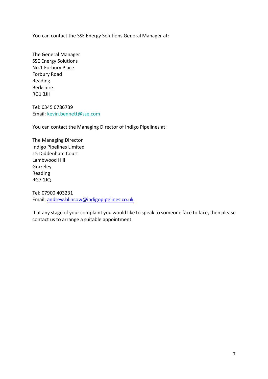You can contact the SSE Energy Solutions General Manager at:

The General Manager SSE Energy Solutions No.1 Forbury Place Forbury Road Reading Berkshire RG1 3JH

Tel: 0345 0786739 Email: kevin.bennett@sse.com

You can contact the Managing Director of Indigo Pipelines at:

The Managing Director Indigo Pipelines Limited 15 Diddenham Court Lambwood Hill Grazeley Reading RG7 1JQ

Tel: 07900 403231 Email: [andrew.blincow@indigopipelines.co.uk](mailto:andrew.blincow@indigopipelines.co.uk)

If at any stage of your complaint you would like to speak to someone face to face, then please contact us to arrange a suitable appointment.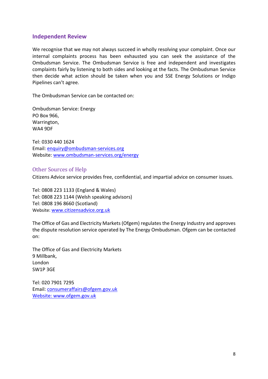# <span id="page-7-0"></span>**Independent Review**

We recognise that we may not always succeed in wholly resolving your complaint. Once our internal complaints process has been exhausted you can seek the assistance of the Ombudsman Service. The Ombudsman Service is free and independent and investigates complaints fairly by listening to both sides and looking at the facts. The Ombudsman Service then decide what action should be taken when you and SSE Energy Solutions or Indigo Pipelines can't agree.

The Ombudsman Service can be contacted on:

Ombudsman Service: Energy PO Box 966, Warrington, WA4 9DF

Tel: 0330 440 1624 Email: [enquiry@ombudsman-services.org](mailto:enquiry@ombudsman-services.org) Website: [www.ombudsman-services.org/energy](http://www.ombudsman-services.org/energy)

#### Other Sources of Help

Citizens Advice service provides free, confidential, and impartial advice on consumer issues.

Tel: 0808 223 1133 (England & Wales) Tel: 0808 223 1144 (Welsh speaking advisors) Tel: 0808 196 8660 (Scotland) Website: [www.citizensadvice.org.uk](http://www.citizensadvice.org.uk/)

The Office of Gas and Electricity Markets (Ofgem) regulates the Energy Industry and approves the dispute resolution service operated by The Energy Ombudsman. Ofgem can be contacted on:

The Office of Gas and Electricity Markets 9 Millbank, London SW1P 3GE

Tel: 020 7901 7295 Email: [consumeraffairs@ofgem.gov.uk](mailto:consumeraffairs@ofgem.gov.uk) Website: [www.ofgem.gov.uk](http://www.ofgem.gov.uk/)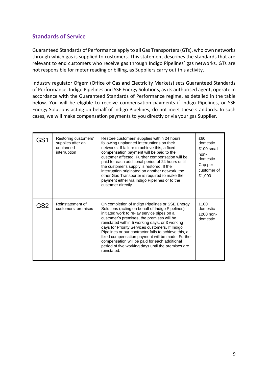# <span id="page-8-0"></span>**Standards of Service**

Guaranteed Standards of Performance apply to all Gas Transporters (GTs), who own networks through which gas is supplied to customers. This statement describes the standards that are relevant to end customers who receive gas through Indigo Pipelines' gas networks. GTs are not responsible for meter reading or billing, as Suppliers carry out this activity.

Industry regulator Ofgem (Office of Gas and Electricity Markets) sets Guaranteed Standards of Performance. Indigo Pipelines and SSE Energy Solutions, as its authorised agent, operate in accordance with the Guaranteed Standards of Performance regime, as detailed in the table below. You will be eligible to receive compensation payments if Indigo Pipelines, or SSE Energy Solutions acting on behalf of Indigo Pipelines, do not meet these standards. In such cases, we will make compensation payments to you directly or via your gas Supplier.

| GS1 | Restoring customers'<br>supplies after an<br>unplanned<br>interruption | Restore customers' supplies within 24 hours<br>following unplanned interruptions on their<br>networks. If failure to achieve this, a fixed<br>compensation payment will be paid to the<br>customer affected. Further compensation will be<br>paid for each additional period of 24 hours until<br>the customer's supply is restored. If the<br>interruption originated on another network, the<br>other Gas Transporter is required to make the<br>payment either via Indigo Pipelines or to the<br>customer directly.                 | £60<br>domestic<br>£100 small<br>non-<br>domestic<br>Cap per<br>customer of<br>£1,000 |
|-----|------------------------------------------------------------------------|----------------------------------------------------------------------------------------------------------------------------------------------------------------------------------------------------------------------------------------------------------------------------------------------------------------------------------------------------------------------------------------------------------------------------------------------------------------------------------------------------------------------------------------|---------------------------------------------------------------------------------------|
| GS2 | Reinstatement of<br>customers' premises                                | On completion of Indigo Pipelines or SSE Energy<br>Solutions (acting on behalf of Indigo Pipelines)<br>initiated work to re-lay service pipes on a<br>customer's premises, the premises will be<br>reinstated within 5 working days, or 3 working<br>days for Priority Services customers. If Indigo<br>Pipelines or our contractor fails to achieve this, a<br>fixed compensation payment will be made. Further<br>compensation will be paid for each additional<br>period of five working days until the premises are<br>reinstated. | £100<br>domestic<br>$£200$ non-<br>domestic                                           |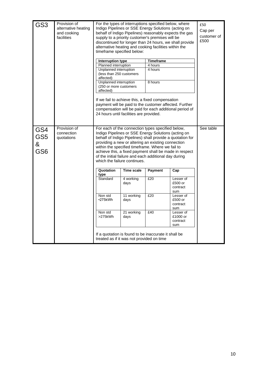| GS <sub>3</sub>                                | Provision of<br>alternative heating<br>and cooking<br>facilities | For the types of interruptions specified below, where<br>Indigo Pipelines or SSE Energy Solutions (acting on<br>behalf of Indigo Pipelines) reasonably expects the gas<br>supply to a priority customer's premises will be<br>discontinued for longer than 24 hours, we shall provide<br>alternative heating and cooking facilities within the<br>timeframe specified below: |                                                                                                                                                                                                                                                                                                                                                                                                                                    |                    |                                                         | £50<br>Cap per<br>customer of<br>£500 |  |
|------------------------------------------------|------------------------------------------------------------------|------------------------------------------------------------------------------------------------------------------------------------------------------------------------------------------------------------------------------------------------------------------------------------------------------------------------------------------------------------------------------|------------------------------------------------------------------------------------------------------------------------------------------------------------------------------------------------------------------------------------------------------------------------------------------------------------------------------------------------------------------------------------------------------------------------------------|--------------------|---------------------------------------------------------|---------------------------------------|--|
|                                                |                                                                  | <b>Interruption type</b>                                                                                                                                                                                                                                                                                                                                                     |                                                                                                                                                                                                                                                                                                                                                                                                                                    | <b>Timeframe</b>   |                                                         |                                       |  |
|                                                |                                                                  | Planned interruption<br>Unplanned interruption<br>(less than 250 customers<br>affected)                                                                                                                                                                                                                                                                                      |                                                                                                                                                                                                                                                                                                                                                                                                                                    | 4 hours<br>4 hours |                                                         |                                       |  |
|                                                |                                                                  | Unplanned interruption<br>(250 or more customers<br>affected)                                                                                                                                                                                                                                                                                                                |                                                                                                                                                                                                                                                                                                                                                                                                                                    | 8 hours            |                                                         |                                       |  |
|                                                |                                                                  |                                                                                                                                                                                                                                                                                                                                                                              | If we fail to achieve this, a fixed compensation<br>payment will be paid to the customer affected. Further<br>24 hours until facilities are provided.                                                                                                                                                                                                                                                                              |                    | compensation will be paid for each additional period of |                                       |  |
| GS4<br>GS <sub>5</sub><br>&<br>GS <sub>6</sub> | Provision of<br>connection<br>quotations                         |                                                                                                                                                                                                                                                                                                                                                                              | For each of the connection types specified below,<br>Indigo Pipelines or SSE Energy Solutions (acting on<br>behalf of Indigo Pipelines) shall provide a quotation for<br>providing a new or altering an existing connection<br>within the specified timeframe. Where we fail to<br>achieve this, a fixed payment shall be made in respect<br>of the initial failure and each additional day during<br>which the failure continues. |                    |                                                         |                                       |  |
|                                                |                                                                  | Quotation<br>type                                                                                                                                                                                                                                                                                                                                                            | Time scale                                                                                                                                                                                                                                                                                                                                                                                                                         | Payment            | Cap                                                     |                                       |  |
|                                                |                                                                  | Standard                                                                                                                                                                                                                                                                                                                                                                     | 4 working<br>days                                                                                                                                                                                                                                                                                                                                                                                                                  | £20                | Lesser of<br>£500 or<br>contract<br>sum                 |                                       |  |
|                                                |                                                                  | Non std<br>•275kWh                                                                                                                                                                                                                                                                                                                                                           | 11 working<br>days                                                                                                                                                                                                                                                                                                                                                                                                                 | £20                | Lesser of<br>£500 or<br>contract<br>sum                 |                                       |  |
|                                                |                                                                  | Non std<br>>275kWh                                                                                                                                                                                                                                                                                                                                                           | 21 working<br>days                                                                                                                                                                                                                                                                                                                                                                                                                 | £40                | Lesser of<br>£1000 or<br>contract<br>sum                |                                       |  |
|                                                |                                                                  | treated as if it was not provided on time                                                                                                                                                                                                                                                                                                                                    | If a quotation is found to be inaccurate it shall be                                                                                                                                                                                                                                                                                                                                                                               |                    |                                                         |                                       |  |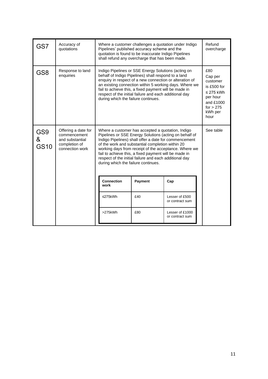| GS7                                 | Accuracy of<br>quotations                                                                  | Where a customer challenges a quotation under Indigo<br>Pipelines' published accuracy scheme and the<br>quotation is found to be inaccurate Indigo Pipelines<br>shall refund any overcharge that has been made.                                                                                                                                                                                                                             | Refund<br>overcharge                                                                                                   |                                    |  |
|-------------------------------------|--------------------------------------------------------------------------------------------|---------------------------------------------------------------------------------------------------------------------------------------------------------------------------------------------------------------------------------------------------------------------------------------------------------------------------------------------------------------------------------------------------------------------------------------------|------------------------------------------------------------------------------------------------------------------------|------------------------------------|--|
| GS <sub>8</sub>                     | Response to land<br>enquiries                                                              | Indigo Pipelines or SSE Energy Solutions (acting on<br>behalf of Indigo Pipelines) shall respond to a land<br>enquiry in respect of a new connection or alteration of<br>an existing connection within 5 working days. Where we<br>fail to achieve this, a fixed payment will be made in<br>respect of the initial failure and each additional day<br>during which the failure continues.                                                   | £80<br>Cap per<br>customer<br>is £500 for<br>$\leq$ 275 kWh<br>per hour<br>and £1000<br>for $> 275$<br>kWh per<br>hour |                                    |  |
| GS <sub>9</sub><br>&<br><b>GS10</b> | Offering a date for<br>commencement<br>and substantial<br>completion of<br>connection work | Where a customer has accepted a quotation, Indigo<br>Pipelines or SSE Energy Solutions (acting on behalf of<br>Indigo Pipelines) shall offer a date for commencement<br>of the work and substantial completion within 20<br>working days from receipt of the acceptance. Where we<br>fail to achieve this, a fixed payment will be made in<br>respect of the initial failure and each additional day<br>during which the failure continues. | See table                                                                                                              |                                    |  |
|                                     |                                                                                            | <b>Connection</b><br>work                                                                                                                                                                                                                                                                                                                                                                                                                   | Payment                                                                                                                | Cap                                |  |
|                                     |                                                                                            | $≤275$ kWh                                                                                                                                                                                                                                                                                                                                                                                                                                  | £40                                                                                                                    | Lesser of £500<br>or contract sum  |  |
|                                     |                                                                                            | >275kWh                                                                                                                                                                                                                                                                                                                                                                                                                                     | £80                                                                                                                    | Lesser of £1000<br>or contract sum |  |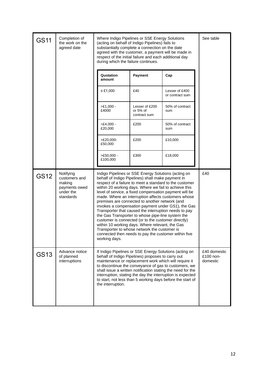| <b>GS11</b> | Completion of<br>the work on the<br>agreed date                                 | Where Indigo Pipelines or SSE Energy Solutions<br>(acting on behalf of Indigo Pipelines) fails to<br>substantially complete a connection on the date<br>agreed with the customer, a payment will be made in<br>respect of the initial failure and each additional day<br>during which the failure continues.                                                                                                                                                                                                                                                                                                                                                                                                                                                                                           | See table                                  |                                   |                                       |
|-------------|---------------------------------------------------------------------------------|--------------------------------------------------------------------------------------------------------------------------------------------------------------------------------------------------------------------------------------------------------------------------------------------------------------------------------------------------------------------------------------------------------------------------------------------------------------------------------------------------------------------------------------------------------------------------------------------------------------------------------------------------------------------------------------------------------------------------------------------------------------------------------------------------------|--------------------------------------------|-----------------------------------|---------------------------------------|
|             |                                                                                 | Quotation<br>amount                                                                                                                                                                                                                                                                                                                                                                                                                                                                                                                                                                                                                                                                                                                                                                                    | Payment                                    | Cap                               |                                       |
|             |                                                                                 | ≤ £1,000                                                                                                                                                                                                                                                                                                                                                                                                                                                                                                                                                                                                                                                                                                                                                                                               | £40                                        | Lesser of £400<br>or contract sum |                                       |
|             |                                                                                 | $>E1,000 -$<br>£4000                                                                                                                                                                                                                                                                                                                                                                                                                                                                                                                                                                                                                                                                                                                                                                                   | Lesser of £200<br>or 5% of<br>contract sum | 50% of contract<br>sum            |                                       |
|             |                                                                                 | $>E4,000 -$<br>£20,000                                                                                                                                                                                                                                                                                                                                                                                                                                                                                                                                                                                                                                                                                                                                                                                 | £200                                       | 50% of contract<br>sum            |                                       |
|             |                                                                                 | $>E20,000-$<br>£50,000                                                                                                                                                                                                                                                                                                                                                                                                                                                                                                                                                                                                                                                                                                                                                                                 | £200                                       | £10,000                           |                                       |
|             |                                                                                 | $>E50,000 -$<br>£100,000                                                                                                                                                                                                                                                                                                                                                                                                                                                                                                                                                                                                                                                                                                                                                                               | £300                                       | £18,000                           |                                       |
| <b>GS12</b> | Notifying<br>customers and<br>making<br>payments owed<br>under the<br>standards | Indigo Pipelines or SSE Energy Solutions (acting on<br>behalf of Indigo Pipelines) shall make payment in<br>respect of a failure to meet a standard to the customer<br>within 20 working days. Where we fail to achieve this<br>level of service, a fixed compensation payment will be<br>made. Where an interruption affects customers whose<br>premises are connected to another network (and<br>invokes a compensation payment under GS1), the Gas<br>Transporter that caused the interruption needs to pay<br>the Gas Transporter to whose pipe-line system the<br>customer is connected (or to the customer directly)<br>within 10 working days. Where relevant, the Gas<br>Transporter to whose network the customer is<br>connected then needs to pay the customer within five<br>working days. | £40                                        |                                   |                                       |
| GS13        | Advance notice<br>of planned<br>interruptions                                   | If Indigo Pipelines or SSE Energy Solutions (acting on<br>behalf of Indigo Pipelines) proposes to carry out<br>maintenance or replacement work which will require it<br>to discontinue the conveyance of gas to customers, we<br>shall issue a written notification stating the need for the<br>interruption, stating the day the interruption is expected<br>to start, not less than 5 working days before the start of<br>the interruption.                                                                                                                                                                                                                                                                                                                                                          |                                            |                                   | £40 domestic<br>£100 non-<br>domestic |